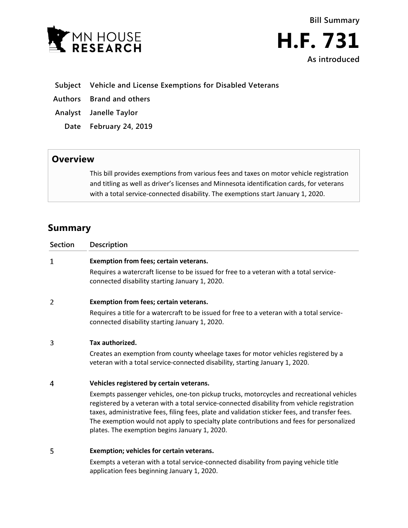



- **Subject Vehicle and License Exemptions for Disabled Veterans**
- **Authors Brand and others**
- **Analyst Janelle Taylor**
	- **Date February 24, 2019**

## **Overview**

This bill provides exemptions from various fees and taxes on motor vehicle registration and titling as well as driver's licenses and Minnesota identification cards, for veterans with a total service-connected disability. The exemptions start January 1, 2020.

# **Summary**

| <b>Section</b> | Description                                                                                                                                                                                                                                                                                                                                                                                                                            |
|----------------|----------------------------------------------------------------------------------------------------------------------------------------------------------------------------------------------------------------------------------------------------------------------------------------------------------------------------------------------------------------------------------------------------------------------------------------|
| $\mathbf 1$    | Exemption from fees; certain veterans.                                                                                                                                                                                                                                                                                                                                                                                                 |
|                | Requires a watercraft license to be issued for free to a veteran with a total service-<br>connected disability starting January 1, 2020.                                                                                                                                                                                                                                                                                               |
| 2              | Exemption from fees; certain veterans.                                                                                                                                                                                                                                                                                                                                                                                                 |
|                | Requires a title for a watercraft to be issued for free to a veteran with a total service-<br>connected disability starting January 1, 2020.                                                                                                                                                                                                                                                                                           |
| 3              | Tax authorized.                                                                                                                                                                                                                                                                                                                                                                                                                        |
|                | Creates an exemption from county wheelage taxes for motor vehicles registered by a<br>veteran with a total service-connected disability, starting January 1, 2020.                                                                                                                                                                                                                                                                     |
| 4              | Vehicles registered by certain veterans.                                                                                                                                                                                                                                                                                                                                                                                               |
|                | Exempts passenger vehicles, one-ton pickup trucks, motorcycles and recreational vehicles<br>registered by a veteran with a total service-connected disability from vehicle registration<br>taxes, administrative fees, filing fees, plate and validation sticker fees, and transfer fees.<br>The exemption would not apply to specialty plate contributions and fees for personalized<br>plates. The exemption begins January 1, 2020. |
| 5              | Exemption; vehicles for certain veterans.                                                                                                                                                                                                                                                                                                                                                                                              |
|                | Exempts a veteran with a total service-connected disability from paying vehicle title                                                                                                                                                                                                                                                                                                                                                  |

Exempts a veteran with a total service-connected disability from paying vehicle title application fees beginning January 1, 2020.